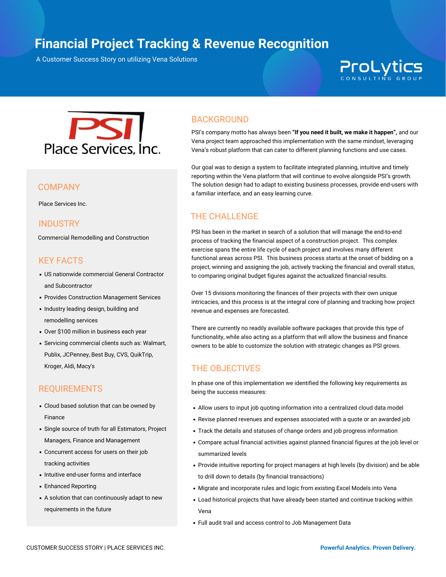# **Project Financial Management Financial Project Tracking & Revenue Recognition**

A Customer Success Story on utilizing Vena Solutions A Customer Success Story on utilizing Vena Solutions

# **ProLytics**



Place Services Inc.

#### **INDUSTRY**

Commercial Remodelling and Construction

## KEY FACTS

- US nationwide commercial General Contractor and Subcontractor
- Provides Construction Management Services
- Industry leading design, building and remodelling services
- Over \$100 million in business each year
- Servicing commercial clients such as: Walmart, Publix, JCPenney, Best Buy, CVS, QuikTrip, Kroger, Aldi, Macy's

### REQUIREMENTS

- Cloud based solution that can be owned by Finance
- Single source of truth for all Estimators, Project Managers, Finance and Management
- Concurrent access for users on their job tracking activities
- Intuitive end-user forms and interface
- Enhanced Reporting
- A solution that can continuously adapt to new requirements in the future

## BACKGROUND

PSI's company motto has always been **"If you need it built, we make it happen",** and our Vena project team approached this implementation with the same mindset, leveraging Vena's robust platform that can cater to different planning functions and use cases.

Our goal was to design a system to facilitate integrated planning, intuitive and timely reporting within the Vena platform that will continue to evolve alongside PSI's growth. The solution design had to adapt to existing business processes, provide end-users with <sup>a</sup> familiar interface, and an easy learning curve. COMPANY

# THE CHALLENGE

PSI has been in the market in search of a solution that will manage the end-to-end process of tracking the financial aspect of a construction project. This complex exercise spans the entire life cycle of each project and involves many different functional areas across PSI. This business process starts at the onset of bidding on a project, winning and assigning the job, actively tracking the financial and overall status, to comparing original budget figures against the actualized financial results.

Over 15 divisions monitoring the finances of their projects with their own unique intricacies, and this process is at the integral core of planning and tracking how project revenue and expenses are forecasted.

There are currently no readily available software packages that provide this type of functionality, while also acting as a platform that will allow the business and finance owners to be able to customize the solution with strategic changes as PSI grows.

### THE OBJECTIVES

In phase one of this implementation we identified the following key requirements as being the success measures:

- Allow users to input job quoting information into a centralized cloud data model
- Revise planned revenues and expenses associated with a quote or an awarded job
- Track the details and statuses of change orders and job progress information
- Compare actual financial activities against planned financial figures at the job level or summarized levels
- Provide intuitive reporting for project managers at high levels (by division) and be able to drill down to details (by financial transactions)
- Migrate and incorporate rules and logic from existing Excel Models into Vena
- Load historical projects that have already been started and continue tracking within Vena
- Full audit trail and access control to Job Management Data